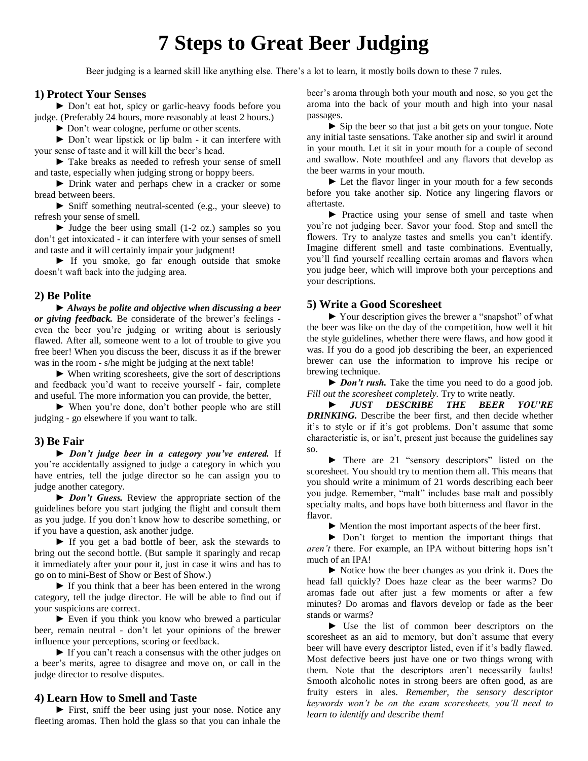# **7 Steps to Great Beer Judging**

Beer judging is a learned skill like anything else. There's a lot to learn, it mostly boils down to these 7 rules.

# **1) Protect Your Senses**

► Don't eat hot, spicy or garlic-heavy foods before you judge. (Preferably 24 hours, more reasonably at least 2 hours.)

► Don't wear cologne, perfume or other scents.

► Don't wear lipstick or lip balm - it can interfere with your sense of taste and it will kill the beer's head.

*►* Take breaks as needed to refresh your sense of smell and taste, especially when judging strong or hoppy beers.

*►* Drink water and perhaps chew in a cracker or some bread between beers.

*►* Sniff something neutral-scented (e.g., your sleeve) to refresh your sense of smell.

*►* Judge the beer using small (1-2 oz.) samples so you don't get intoxicated - it can interfere with your senses of smell and taste and it will certainly impair your judgment!

*►* If you smoke, go far enough outside that smoke doesn't waft back into the judging area.

## **2) Be Polite**

*► Always be polite and objective when discussing a beer or giving feedback.* Be considerate of the brewer's feelings even the beer you're judging or writing about is seriously flawed. After all, someone went to a lot of trouble to give you free beer! When you discuss the beer, discuss it as if the brewer was in the room - s/he might be judging at the next table!

► When writing scoresheets, give the sort of descriptions and feedback you'd want to receive yourself - fair, complete and useful. The more information you can provide, the better,

*►* When you're done, don't bother people who are still judging - go elsewhere if you want to talk.

#### **3) Be Fair**

*► Don't judge beer in a category you've entered.* If you're accidentally assigned to judge a category in which you have entries, tell the judge director so he can assign you to judge another category.

*► Don't Guess.* Review the appropriate section of the guidelines before you start judging the flight and consult them as you judge. If you don't know how to describe something, or if you have a question, ask another judge.

*►* If you get a bad bottle of beer, ask the stewards to bring out the second bottle. (But sample it sparingly and recap it immediately after your pour it, just in case it wins and has to go on to mini-Best of Show or Best of Show.)

*►* If you think that a beer has been entered in the wrong category, tell the judge director. He will be able to find out if your suspicions are correct.

*►* Even if you think you know who brewed a particular beer, remain neutral - don't let your opinions of the brewer influence your perceptions, scoring or feedback.

*►* If you can't reach a consensus with the other judges on a beer's merits, agree to disagree and move on, or call in the judge director to resolve disputes.

## **4) Learn How to Smell and Taste**

*►* First, sniff the beer using just your nose. Notice any fleeting aromas. Then hold the glass so that you can inhale the beer's aroma through both your mouth and nose, so you get the aroma into the back of your mouth and high into your nasal passages.

*►* Sip the beer so that just a bit gets on your tongue. Note any initial taste sensations. Take another sip and swirl it around in your mouth. Let it sit in your mouth for a couple of second and swallow. Note mouthfeel and any flavors that develop as the beer warms in your mouth.

*►* Let the flavor linger in your mouth for a few seconds before you take another sip. Notice any lingering flavors or aftertaste.

► Practice using your sense of smell and taste when you're not judging beer. Savor your food. Stop and smell the flowers. Try to analyze tastes and smells you can't identify. Imagine different smell and taste combinations. Eventually, you'll find yourself recalling certain aromas and flavors when you judge beer, which will improve both your perceptions and your descriptions.

## **5) Write a Good Scoresheet**

*►* Your description gives the brewer a "snapshot" of what the beer was like on the day of the competition, how well it hit the style guidelines, whether there were flaws, and how good it was. If you do a good job describing the beer, an experienced brewer can use the information to improve his recipe or brewing technique.

► *Don't rush.* Take the time you need to do a good job. *Fill out the scoresheet completely.* Try to write neatly.

► *JUST DESCRIBE THE BEER YOU'RE DRINKING.* Describe the beer first, and then decide whether it's to style or if it's got problems. Don't assume that some characteristic is, or isn't, present just because the guidelines say so.

*►* There are 21 "sensory descriptors" listed on the scoresheet. You should try to mention them all. This means that you should write a minimum of 21 words describing each beer you judge. Remember, "malt" includes base malt and possibly specialty malts, and hops have both bitterness and flavor in the flavor.

► Mention the most important aspects of the beer first.

► Don't forget to mention the important things that *aren't* there. For example, an IPA without bittering hops isn't much of an IPA!

► Notice how the beer changes as you drink it. Does the head fall quickly? Does haze clear as the beer warms? Do aromas fade out after just a few moments or after a few minutes? Do aromas and flavors develop or fade as the beer stands or warms?

*►* Use the list of common beer descriptors on the scoresheet as an aid to memory, but don't assume that every beer will have every descriptor listed, even if it's badly flawed. Most defective beers just have one or two things wrong with them. Note that the descriptors aren't necessarily faults! Smooth alcoholic notes in strong beers are often good, as are fruity esters in ales. *Remember, the sensory descriptor keywords won't be on the exam scoresheets, you'll need to learn to identify and describe them!*